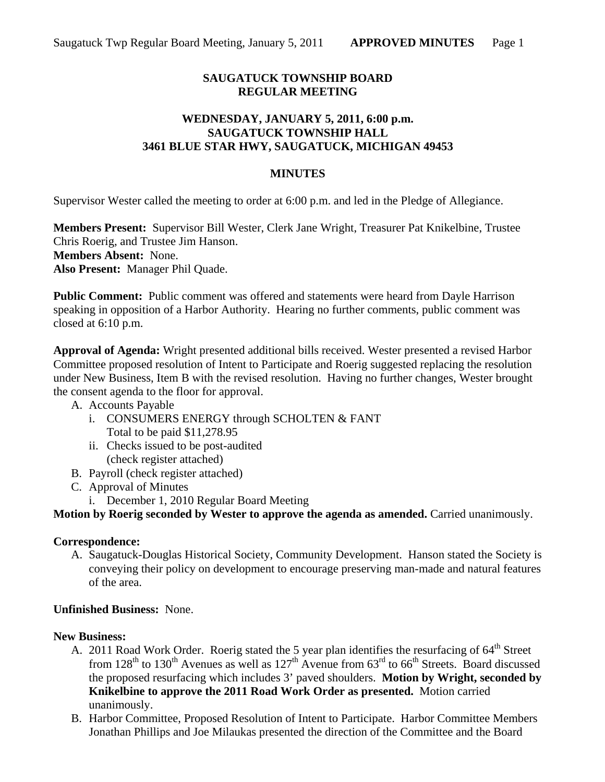## **SAUGATUCK TOWNSHIP BOARD REGULAR MEETING**

## **WEDNESDAY, JANUARY 5, 2011, 6:00 p.m. SAUGATUCK TOWNSHIP HALL 3461 BLUE STAR HWY, SAUGATUCK, MICHIGAN 49453**

## **MINUTES**

Supervisor Wester called the meeting to order at 6:00 p.m. and led in the Pledge of Allegiance.

**Members Present:** Supervisor Bill Wester, Clerk Jane Wright, Treasurer Pat Knikelbine, Trustee Chris Roerig, and Trustee Jim Hanson. **Members Absent:** None. **Also Present:** Manager Phil Quade.

**Public Comment:** Public comment was offered and statements were heard from Dayle Harrison speaking in opposition of a Harbor Authority. Hearing no further comments, public comment was closed at 6:10 p.m.

**Approval of Agenda:** Wright presented additional bills received. Wester presented a revised Harbor Committee proposed resolution of Intent to Participate and Roerig suggested replacing the resolution under New Business, Item B with the revised resolution. Having no further changes, Wester brought the consent agenda to the floor for approval.

- A. Accounts Payable
	- i. CONSUMERS ENERGY through SCHOLTEN & FANT Total to be paid \$11,278.95
	- ii. Checks issued to be post-audited (check register attached)
- B. Payroll (check register attached)
- C. Approval of Minutes
	- i. December 1, 2010 Regular Board Meeting

**Motion by Roerig seconded by Wester to approve the agenda as amended.** Carried unanimously.

#### **Correspondence:**

A. Saugatuck-Douglas Historical Society, Community Development. Hanson stated the Society is conveying their policy on development to encourage preserving man-made and natural features of the area.

#### **Unfinished Business:** None.

#### **New Business:**

- A. 2011 Road Work Order. Roerig stated the 5 year plan identifies the resurfacing of  $64<sup>th</sup>$  Street from  $128<sup>th</sup>$  to  $130<sup>th</sup>$  Avenues as well as  $127<sup>th</sup>$  Avenue from  $63<sup>rd</sup>$  to  $66<sup>th</sup>$  Streets. Board discussed the proposed resurfacing which includes 3' paved shoulders. **Motion by Wright, seconded by Knikelbine to approve the 2011 Road Work Order as presented.** Motion carried unanimously.
- B. Harbor Committee, Proposed Resolution of Intent to Participate. Harbor Committee Members Jonathan Phillips and Joe Milaukas presented the direction of the Committee and the Board